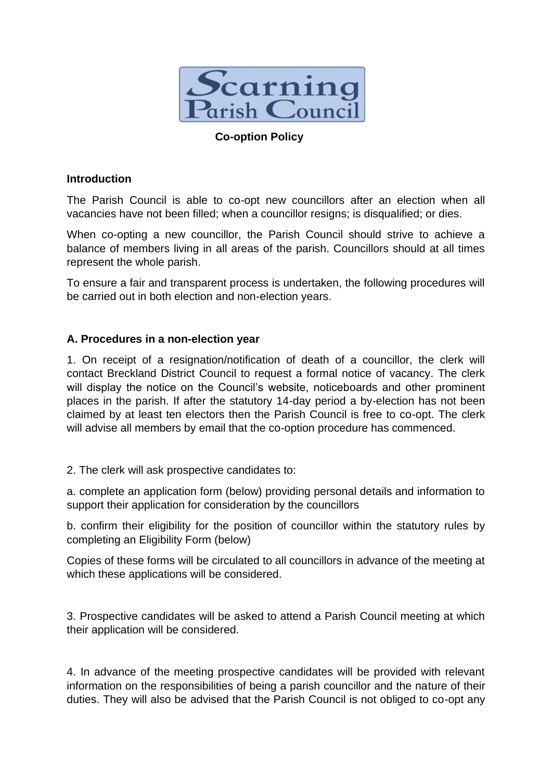

## **Co-option Policy**

## **Introduction**

The Parish Council is able to co-opt new councillors after an election when all vacancies have not been filled; when a councillor resigns; is disqualified; or dies.

When co-opting a new councillor, the Parish Council should strive to achieve a balance of members living in all areas of the parish. Councillors should at all times represent the whole parish.

To ensure a fair and transparent process is undertaken, the following procedures will be carried out in both election and non-election years.

## **A. Procedures in a non-election year**

1. On receipt of a resignation/notification of death of a councillor, the clerk will contact Breckland District Council to request a formal notice of vacancy. The clerk will display the notice on the Council's website, noticeboards and other prominent places in the parish. If after the statutory 14-day period a by-election has not been claimed by at least ten electors then the Parish Council is free to co-opt. The clerk will advise all members by email that the co-option procedure has commenced.

2. The clerk will ask prospective candidates to:

a. complete an application form (below) providing personal details and information to support their application for consideration by the councillors

b. confirm their eligibility for the position of councillor within the statutory rules by completing an Eligibility Form (below)

Copies of these forms will be circulated to all councillors in advance of the meeting at which these applications will be considered.

3. Prospective candidates will be asked to attend a Parish Council meeting at which their application will be considered.

4. In advance of the meeting prospective candidates will be provided with relevant information on the responsibilities of being a parish councillor and the nature of their duties. They will also be advised that the Parish Council is not obliged to co-opt any